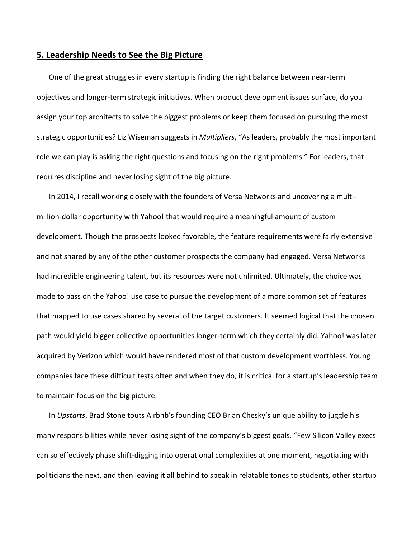## **5. Leadership Needs to See the Big Picture**

One of the great struggles in every startup is finding the right balance between near‐term objectives and longer‐term strategic initiatives. When product development issues surface, do you assign your top architects to solve the biggest problems or keep them focused on pursuing the most strategic opportunities? Liz Wiseman suggests in *Multipliers*, "As leaders, probably the most important role we can play is asking the right questions and focusing on the right problems." For leaders, that requires discipline and never losing sight of the big picture.

In 2014, I recall working closely with the founders of Versa Networks and uncovering a multi‐ million‐dollar opportunity with Yahoo! that would require a meaningful amount of custom development. Though the prospects looked favorable, the feature requirements were fairly extensive and not shared by any of the other customer prospects the company had engaged. Versa Networks had incredible engineering talent, but its resources were not unlimited. Ultimately, the choice was made to pass on the Yahoo! use case to pursue the development of a more common set of features that mapped to use cases shared by several of the target customers. It seemed logical that the chosen path would yield bigger collective opportunities longer‐term which they certainly did. Yahoo! was later acquired by Verizon which would have rendered most of that custom development worthless. Young companies face these difficult tests often and when they do, it is critical for a startup's leadership team to maintain focus on the big picture.

In *Upstarts*, Brad Stone touts Airbnb's founding CEO Brian Chesky's unique ability to juggle his many responsibilities while never losing sight of the company's biggest goals. "Few Silicon Valley execs can so effectively phase shift‐digging into operational complexities at one moment, negotiating with politicians the next, and then leaving it all behind to speak in relatable tones to students, other startup